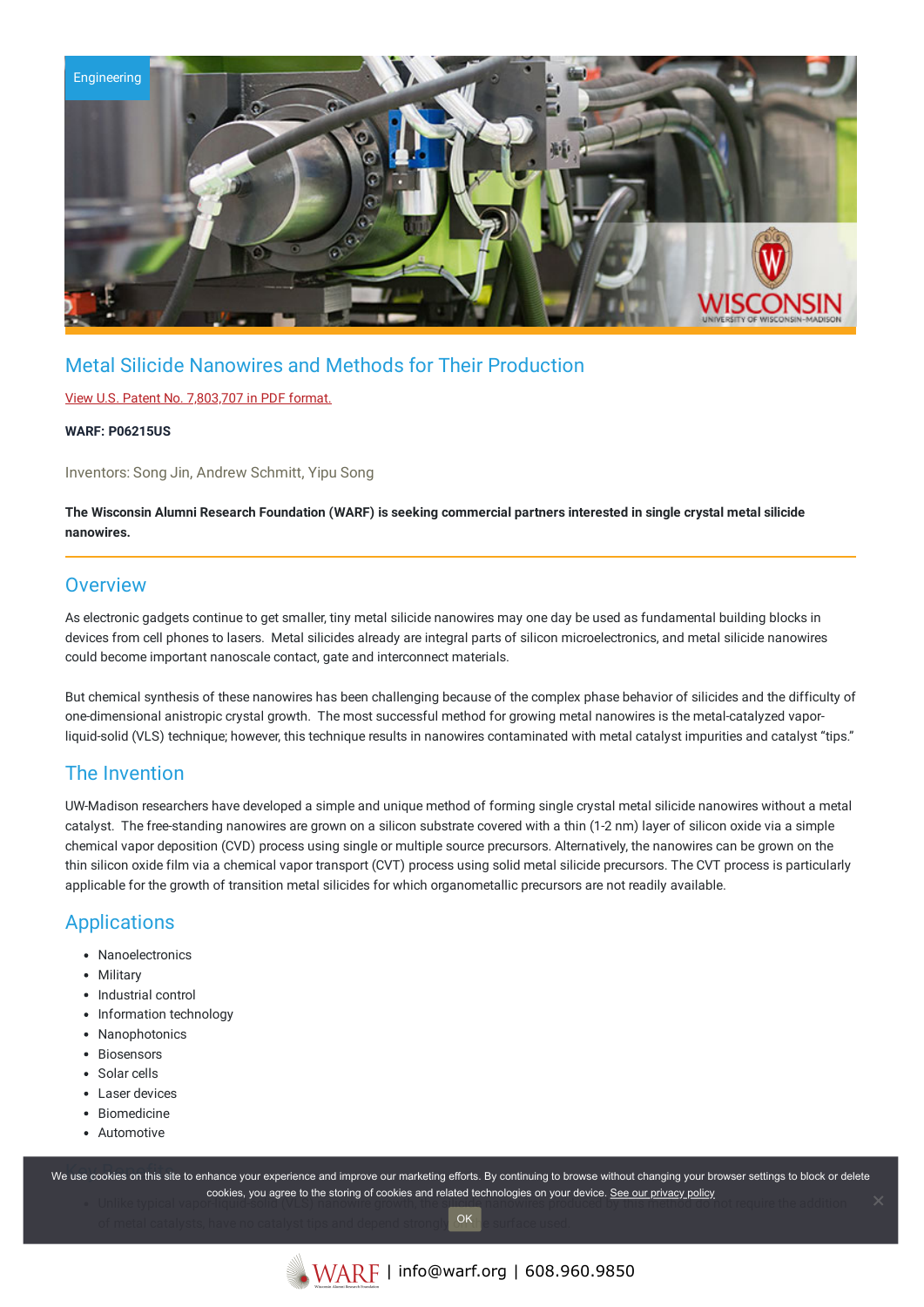

# Metal Silicide Nanowires and Methods for Their Production

### View U.S. Patent No. [7,803,707](https://www.warf.org/wp-content/uploads/technologies/ipstatus/P06215US.PDF) in PDF format.

#### **WARF: P06215US**

Inventors: Song Jin, Andrew Schmitt, Yipu Song

The Wisconsin Alumni Research Foundation (WARF) is seeking commercial partners interested in single crystal metal silicide **nanowires.**

### **Overview**

As electronic gadgets continue to get smaller, tiny metal silicide nanowires may one day be used as fundamental building blocks in devices from cell phones to lasers. Metal silicides already are integral parts of silicon microelectronics, and metal silicide nanowires could become important nanoscale contact, gate and interconnect materials.

But chemical synthesis of these nanowires has been challenging because of the complex phase behavior of silicides and the difficulty of one-dimensional anistropic crystal growth. The most successful method for growing metal nanowires is the metal-catalyzed vaporliquid-solid (VLS) technique; however, this technique results in nanowires contaminated with metal catalyst impurities and catalyst "tips."

### The Invention

UW-Madison researchers have developed a simple and unique method of forming single crystal metal silicide nanowires without a metal catalyst. The free-standing nanowires are grown on a silicon substrate covered with a thin (1-2 nm) layer of silicon oxide via a simple chemical vapor deposition (CVD) process using single or multiple source precursors. Alternatively, the nanowires can be grown on the thin silicon oxide film via a chemical vapor transport (CVT) process using solid metal silicide precursors. The CVT process is particularly applicable for the growth of transition metal silicides for which organometallic precursors are not readily available.

# **Applications**

- Nanoelectronics
- Military
- Industrial control
- Information technology
- Nanophotonics
- Biosensors
- Solar cells
- Laser devices
- Biomedicine
- Automotive

we use cookies on this site to enhance your experience and improve our marketing efforts. By continuing to browse without changing your browser settings to block or delete Unlike typical vapor-liquid-solid (VLS) nanowire growth, the silicide nanowires produced by this method do not require the addition cookies, you agree to the storing of cookies and related technologies on your device. [See our privacy policy](https://www.warf.org/privacy-policy/)

of metal catalysts, have no catalyst tips and depend strongly  $\frac{OR_{\text{tr}}}{\text{er}}$  surface used. OK